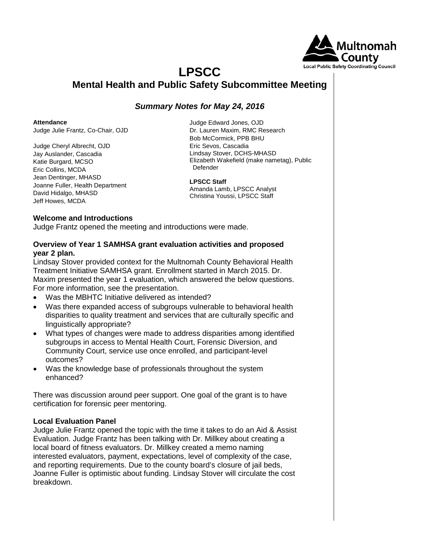

### **LPSCC Mental Health and Public Safety Subcommittee Meeting**

### *Summary Notes for May 24, 2016*

**Attendance**

Judge Julie Frantz, Co-Chair, OJD

Judge Cheryl Albrecht, OJD Jay Auslander, Cascadia Katie Burgard, MCSO Eric Collins, MCDA Jean Dentinger, MHASD Joanne Fuller, Health Department David Hidalgo, MHASD Jeff Howes, MCDA

Judge Edward Jones, OJD Dr. Lauren Maxim, RMC Research Bob McCormick, PPB BHU Eric Sevos, Cascadia Lindsay Stover, DCHS-MHASD Elizabeth Wakefield (make nametag), Public Defender

### **LPSCC Staff**

Amanda Lamb, LPSCC Analyst Christina Youssi, LPSCC Staff

### **Welcome and Introductions**

Judge Frantz opened the meeting and introductions were made.

### **Overview of Year 1 SAMHSA grant evaluation activities and proposed year 2 plan.**

Lindsay Stover provided context for the Multnomah County Behavioral Health Treatment Initiative SAMHSA grant. Enrollment started in March 2015. Dr. Maxim presented the year 1 evaluation, which answered the below questions. For more information, see the presentation.

- Was the MBHTC Initiative delivered as intended?
- Was there expanded access of subgroups vulnerable to behavioral health disparities to quality treatment and services that are culturally specific and linguistically appropriate?
- What types of changes were made to address disparities among identified subgroups in access to Mental Health Court, Forensic Diversion, and Community Court, service use once enrolled, and participant-level outcomes?
- Was the knowledge base of professionals throughout the system enhanced?

There was discussion around peer support. One goal of the grant is to have certification for forensic peer mentoring.

### **Local Evaluation Panel**

Judge Julie Frantz opened the topic with the time it takes to do an Aid & Assist Evaluation. Judge Frantz has been talking with Dr. Millkey about creating a local board of fitness evaluators. Dr. Millkey created a memo naming interested evaluators, payment, expectations, level of complexity of the case, and reporting requirements. Due to the county board's closure of jail beds, Joanne Fuller is optimistic about funding. Lindsay Stover will circulate the cost breakdown.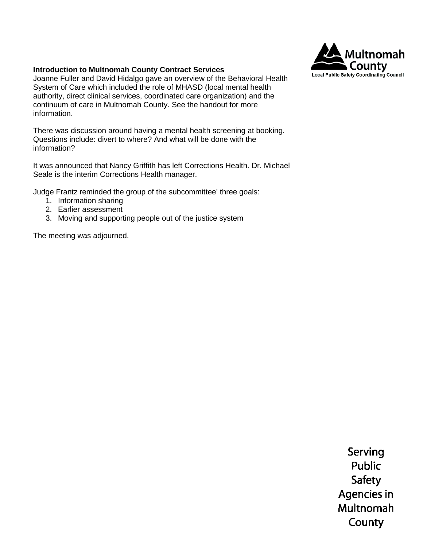

#### **Introduction to Multnomah County Contract Services**

Joanne Fuller and David Hidalgo gave an overview of the Behavioral Health System of Care which included the role of MHASD (local mental health authority, direct clinical services, coordinated care organization) and the continuum of care in Multnomah County. See the handout for more information.

There was discussion around having a mental health screening at booking. Questions include: divert to where? And what will be done with the information?

It was announced that Nancy Griffith has left Corrections Health. Dr. Michael Seale is the interim Corrections Health manager.

Judge Frantz reminded the group of the subcommittee' three goals:

- 1. Information sharing
- 2. Earlier assessment
- 3. Moving and supporting people out of the justice system

The meeting was adjourned.

Serving Public **Safety** Agencies in Multnomah County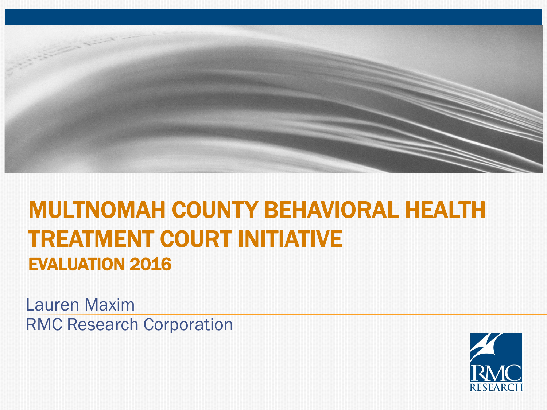

### **MULTNOMAH COUNTY BEHAVIORAL HEALTH TREATMENT COURT INITIATIVE EVALUATION 2016**

Lauren Maxim RMC Research Corporation

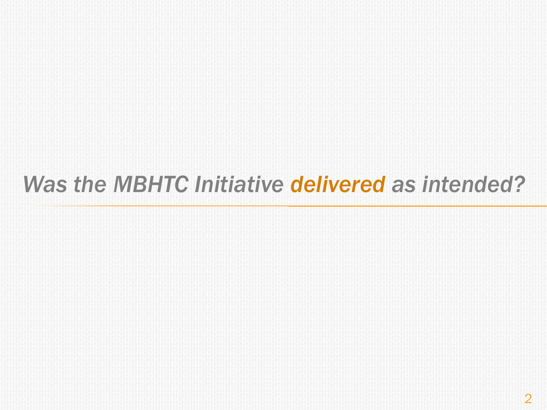## *Was the MBHTC Initiative delivered as intended?*

2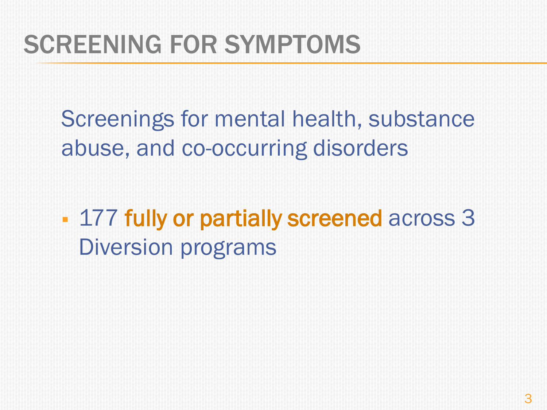## SCREENING FOR SYMPTOMS

Screenings for mental health, substance abuse, and co-occurring disorders

**177 fully or partially screened across 3** Diversion programs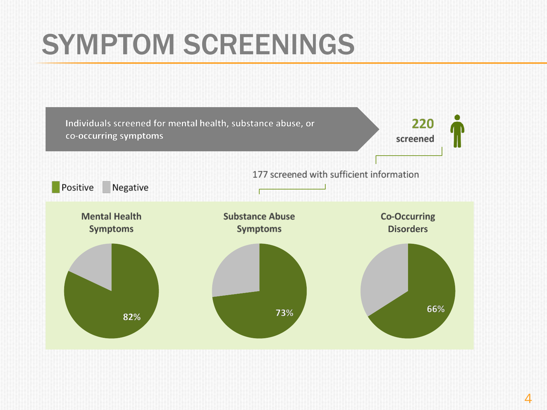# SYMPTOM SCREENINGS

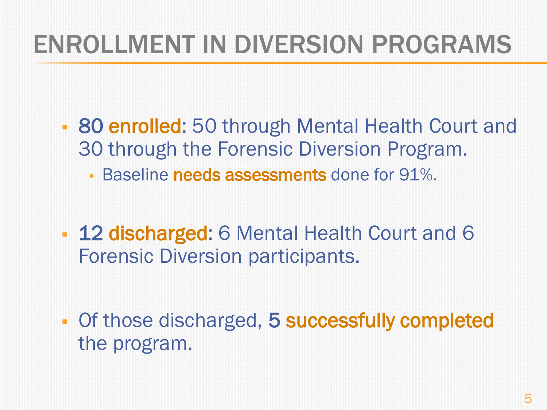# ENROLLMENT IN DIVERSION PROGRAMS

- 80 enrolled: 50 through Mental Health Court and 30 through the Forensic Diversion Program.
	- **Baseline needs assessments** done for 91%.
- **12 discharged:** 6 Mental Health Court and 6 Forensic Diversion participants.
- **Of those discharged, 5 successfully completed** the program.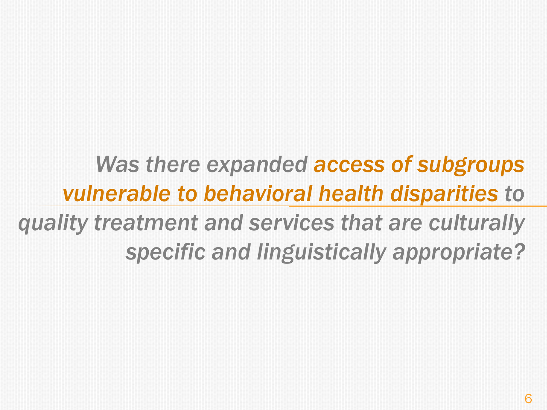## *Was there expanded access of subgroups vulnerable to behavioral health disparities to quality treatment and services that are culturally specific and linguistically appropriate?*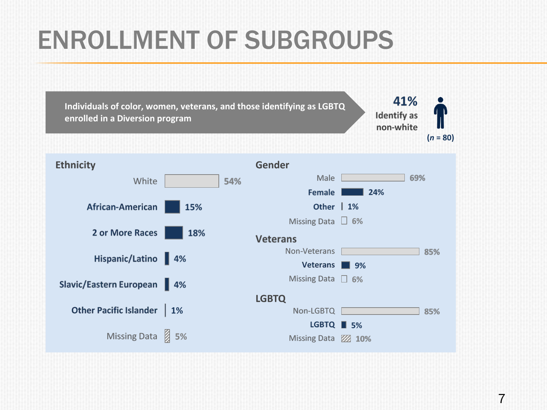# ENROLLMENT OF SUBGROUPS

41% **Individuals of color, women, veterans, and those identifying as LGBTQ Identify** as **enrolled in a Diversion program** non-white  $(n = 80)$ **Gender Ethnicity** Male 69% White 54% Female  $\blacksquare$  24% **African-American** Other | 1% 15% Missing Data  $\boxtimes$  6% 2 or More Races 18% **Veterans** Non-Veterans 85% Hispanic/Latino 4% Veterans 9% Missing Data 2 6% Slavic/Eastern European 4% **LGBTQ** Other Pacific Islander | 1% Non-LGBTQ [ 85% **LGBTQ** ■ 5% Missing Data 3 5% Missing Data **22 10%**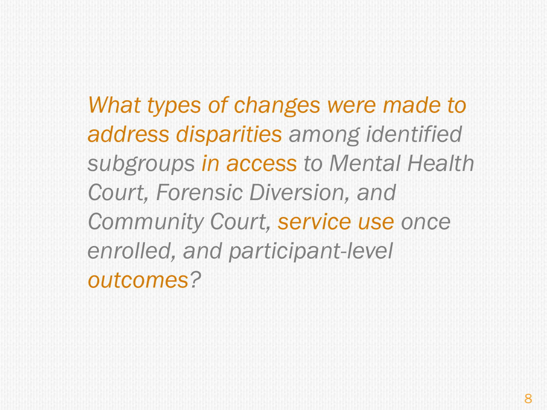*What types of changes were made to address disparities among identified subgroups in access to Mental Health Court, Forensic Diversion, and Community Court, service use once enrolled, and participant-level outcomes?*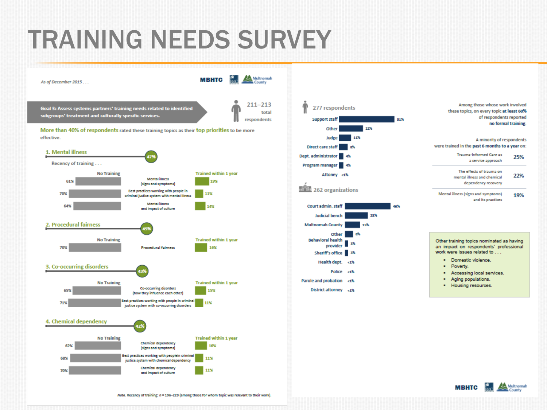## TRAINING NEEDS SURVEY



of respondents reported 51% no formal training. A minority of respondents were trained in the past 6 months to a year on: Trauma-Informed Care as 25% a service approach The effects of trauma on 22% mental illness and chemical dependency recovery Mental illness (signs and symptoms) 19% and its practices 46%

> Other training topics nominated as having an impact on respondents' professional work were issues related to ...

Among those whose work involved

these topics, on every topic at least 60%

- · Domestic violence.
- · Poverty.
- Accessing local services.
- Aging populations.
- . Housing resources.



Note. Recency of training:  $n = 196-229$  (among those for whom topic was relevant to their work).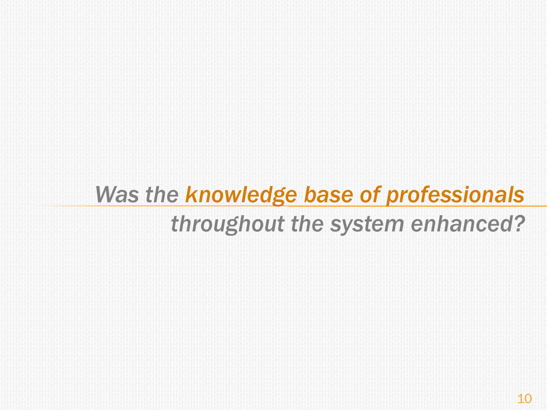# *Was the knowledge base of professionals throughout the system enhanced?*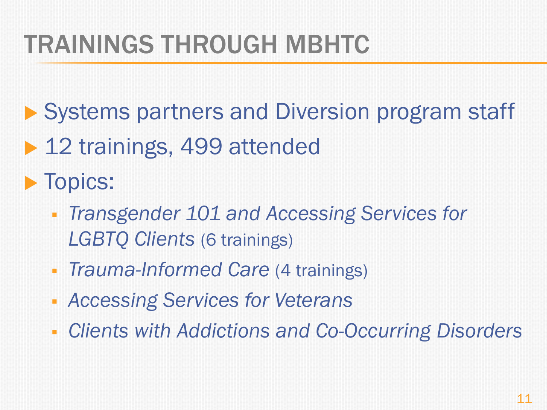# TRAININGS THROUGH MBHTC

- ▶ Systems partners and Diversion program staff
- ▶ 12 trainings, 499 attended

**Topics:** 

- *Transgender 101 and Accessing Services for LGBTQ Clients* (6 trainings)
- **Trauma-Informed Care (4 trainings)**
- *Accessing Services for Veterans*
- *Clients with Addictions and Co-Occurring Disorders*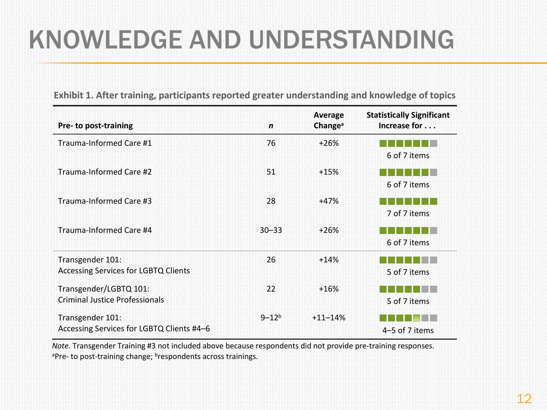# KNOWLEDGE AND UNDERSTANDING

| Pre- to post-training                                           | $\mathbf n$  | Average<br>Change <sup>a</sup> | <b>Statistically Significant</b><br>Increase for |
|-----------------------------------------------------------------|--------------|--------------------------------|--------------------------------------------------|
| Trauma-Informed Care #1                                         | 76           | $+26%$                         | 6 of 7 items                                     |
| Trauma-Informed Care #2                                         | 51           | $+15%$                         | 6 of 7 items                                     |
| Trauma-Informed Care #3                                         | 28           | $+47%$                         | 7 of 7 items                                     |
| Trauma-Informed Care #4                                         | $30 - 33$    | $+26%$                         | 6 of 7 items                                     |
| Transgender 101:<br><b>Accessing Services for LGBTQ Clients</b> | 26           | $+14%$                         | 5 of 7 items                                     |
| Transgender/LGBTQ 101:<br><b>Criminal Justice Professionals</b> | 22           | $+16%$                         | 5 of 7 items                                     |
| Transgender 101:<br>Accessing Services for LGBTQ Clients #4-6   | $9 - 12^{b}$ | $+11 - 14%$                    | 4-5 of 7 items                                   |

**Exhibit 1. After training, participants reported greater understanding and knowledge of topics**

*Note.* Transgender Training #3 not included above because respondents did not provide pre-training responses.<br><sup>a</sup>Pre- to post-training change; <sup>b</sup>respondents across trainings.